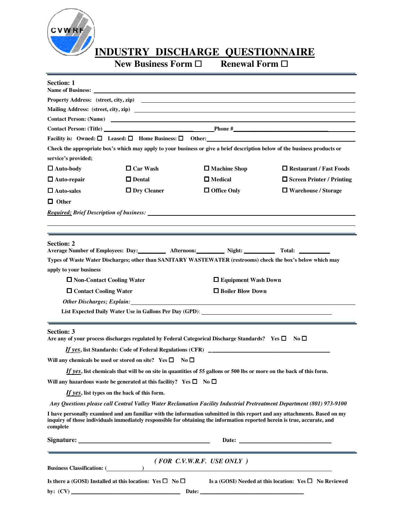

**INDUSTRY DISCHARGE QUESTIONNAIRE**<br>New Business Form  $\Box$  Renewal Form  $\Box$ 

**New Business Form**  $\Box$ j.

| <b>Section: 1</b>       |                                                                                    | Name of Business: <u>Name of Business:</u>                                                                                                                                                                                     |                                                                                                                                                                                                                                                        |  |
|-------------------------|------------------------------------------------------------------------------------|--------------------------------------------------------------------------------------------------------------------------------------------------------------------------------------------------------------------------------|--------------------------------------------------------------------------------------------------------------------------------------------------------------------------------------------------------------------------------------------------------|--|
|                         |                                                                                    | Property Address: (street, city, zip)                                                                                                                                                                                          |                                                                                                                                                                                                                                                        |  |
|                         |                                                                                    |                                                                                                                                                                                                                                |                                                                                                                                                                                                                                                        |  |
|                         |                                                                                    | Contact Person: (Name)                                                                                                                                                                                                         |                                                                                                                                                                                                                                                        |  |
|                         |                                                                                    |                                                                                                                                                                                                                                |                                                                                                                                                                                                                                                        |  |
|                         |                                                                                    |                                                                                                                                                                                                                                |                                                                                                                                                                                                                                                        |  |
| service's provided;     |                                                                                    | Check the appropriate box's which may apply to your business or give a brief description below of the business products or                                                                                                     |                                                                                                                                                                                                                                                        |  |
| $\Box$ Auto-body        | $\Box$ Car Wash                                                                    | $\Box$ Machine Shop                                                                                                                                                                                                            | Restaurant / Fast Foods                                                                                                                                                                                                                                |  |
| $\Box$ Auto-repair      | $\Box$ Dental                                                                      | $\Box$ Medical                                                                                                                                                                                                                 | $\Box$ Screen Printer / Printing                                                                                                                                                                                                                       |  |
| $\Box$ Auto-sales       | $\Box$ Dry Cleaner                                                                 | $\Box$ Office Only                                                                                                                                                                                                             | □ Warehouse / Storage                                                                                                                                                                                                                                  |  |
| $\Box$ Other            |                                                                                    |                                                                                                                                                                                                                                |                                                                                                                                                                                                                                                        |  |
|                         |                                                                                    | <b>Required: Brief Description of business:</b>                                                                                                                                                                                |                                                                                                                                                                                                                                                        |  |
| <b>Section: 2</b>       |                                                                                    | Average Number of Employees: Day: __________ Afternoon: __________ Night: __________ Total: _________                                                                                                                          |                                                                                                                                                                                                                                                        |  |
|                         |                                                                                    | Types of Waste Water Discharges; other than SANITARY WASTEWATER (restrooms) check the box's below which may                                                                                                                    |                                                                                                                                                                                                                                                        |  |
| apply to your business  |                                                                                    |                                                                                                                                                                                                                                |                                                                                                                                                                                                                                                        |  |
|                         | □ Non-Contact Cooling Water<br>□ Equipment Wash Down                               |                                                                                                                                                                                                                                |                                                                                                                                                                                                                                                        |  |
| □ Contact Cooling Water |                                                                                    | $\Box$ Boiler Blow Down                                                                                                                                                                                                        |                                                                                                                                                                                                                                                        |  |
|                         |                                                                                    | Other Discharges; Explain: Letter and the contract of the contract of the contract of the contract of the contract of the contract of the contract of the contract of the contract of the contract of the contract of the cont |                                                                                                                                                                                                                                                        |  |
|                         |                                                                                    |                                                                                                                                                                                                                                |                                                                                                                                                                                                                                                        |  |
| <b>Section: 3</b>       |                                                                                    | Are any of your process discharges regulated by Federal Categorical Discharge Standards? Yes $\square$ No $\square$                                                                                                            |                                                                                                                                                                                                                                                        |  |
|                         |                                                                                    |                                                                                                                                                                                                                                |                                                                                                                                                                                                                                                        |  |
|                         | Will any chemicals be used or stored on site? Yes $\square$ No $\square$           |                                                                                                                                                                                                                                |                                                                                                                                                                                                                                                        |  |
|                         |                                                                                    | If yes, list chemicals that will be on site in quantities of 55 gallons or 500 lbs or more on the back of this form                                                                                                            |                                                                                                                                                                                                                                                        |  |
|                         | Will any hazardous waste be generated at this facility? Yes $\square$ No $\square$ |                                                                                                                                                                                                                                |                                                                                                                                                                                                                                                        |  |
|                         | If yes, list types on the back of this form.                                       |                                                                                                                                                                                                                                |                                                                                                                                                                                                                                                        |  |
|                         |                                                                                    |                                                                                                                                                                                                                                | Any Questions please call Central Valley Water Reclamation Facility Industrial Pretreatment Department (801) 973-9100                                                                                                                                  |  |
|                         |                                                                                    |                                                                                                                                                                                                                                | I have personally examined and am familiar with the information submitted in this report and any attachments. Based on my<br>inquiry of those individuals immediately responsible for obtaining the information reported herein is true, accurate, and |  |
| complete                |                                                                                    |                                                                                                                                                                                                                                |                                                                                                                                                                                                                                                        |  |
|                         |                                                                                    |                                                                                                                                                                                                                                |                                                                                                                                                                                                                                                        |  |
|                         |                                                                                    | $(FOR \ C.V.W.R.F. \ USE \ ONLY)$                                                                                                                                                                                              |                                                                                                                                                                                                                                                        |  |
|                         |                                                                                    | <b>Business Classification:</b> ( )                                                                                                                                                                                            | Is there a (GOSI) Installed at this location: Yes $\square$ No $\square$ Is a (GOSI) Needed at this location: Yes $\square$ No Reviewed                                                                                                                |  |